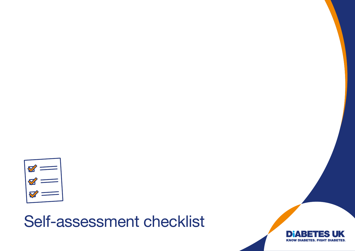

## Self-assessment checklist

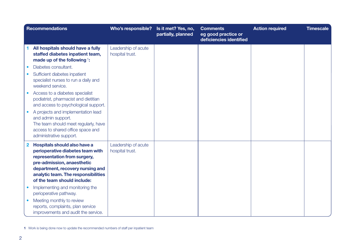|             | <b>Recommendations</b>                                                                                                                                                                                                                   | Who's responsible?                     | Is it met? Yes, no,<br>partially, planned | <b>Comments</b><br>eg good practice or<br>deficiencies identified | <b>Action required</b> | <b>Timescale</b> |
|-------------|------------------------------------------------------------------------------------------------------------------------------------------------------------------------------------------------------------------------------------------|----------------------------------------|-------------------------------------------|-------------------------------------------------------------------|------------------------|------------------|
|             | All hospitals should have a fully<br>staffed diabetes inpatient team,<br>made up of the following $\frac{1}{1}$ :                                                                                                                        | Leadership of acute<br>hospital trust. |                                           |                                                                   |                        |                  |
|             | Diabetes consultant.                                                                                                                                                                                                                     |                                        |                                           |                                                                   |                        |                  |
|             | Sufficient diabetes inpatient<br>specialist nurses to run a daily and<br>weekend service.                                                                                                                                                |                                        |                                           |                                                                   |                        |                  |
|             | Access to a diabetes specialist<br>podiatrist, pharmacist and dietitian<br>and access to psychological support.                                                                                                                          |                                        |                                           |                                                                   |                        |                  |
|             | A projects and implementation lead<br>and admin support.<br>The team should meet regularly, have<br>access to shared office space and<br>administrative support.                                                                         |                                        |                                           |                                                                   |                        |                  |
| $\mathbf 2$ | Hospitals should also have a<br>perioperative diabetes team with<br>representation from surgery,<br>pre-admission, anaesthetic<br>department, recovery nursing and<br>analytic team. The responsibilities<br>of the team should include: | Leadership of acute<br>hospital trust. |                                           |                                                                   |                        |                  |
|             | Implementing and monitoring the<br>perioperative pathway.                                                                                                                                                                                |                                        |                                           |                                                                   |                        |                  |
|             | Meeting monthly to review<br>reports, complaints, plan service<br>improvements and audit the service.                                                                                                                                    |                                        |                                           |                                                                   |                        |                  |

1 Work is being done now to update the recommended numbers of staff per inpatient team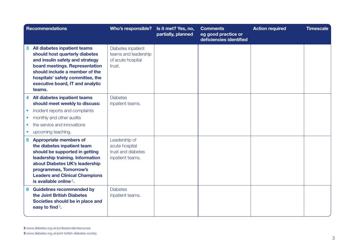|                                                  | <b>Recommendations</b>                                                                                                                                                                                                                                                        | <b>Who's responsible?</b>                                                 | Is it met? Yes, no,<br>partially, planned | <b>Comments</b><br>eg good practice or<br>deficiencies identified | <b>Action required</b> | <b>Timescale</b> |
|--------------------------------------------------|-------------------------------------------------------------------------------------------------------------------------------------------------------------------------------------------------------------------------------------------------------------------------------|---------------------------------------------------------------------------|-------------------------------------------|-------------------------------------------------------------------|------------------------|------------------|
| 3                                                | All diabetes inpatient teams<br>should host quarterly diabetes<br>and insulin safety and strategy<br>board meetings. Representation<br>should include a member of the<br>hospitals' safety committee, the<br>executive board, IT and analytic<br>teams.                       | Diabetes inpatient<br>teams and leadership<br>of acute hospital<br>trust. |                                           |                                                                   |                        |                  |
| $\bullet$<br>$\bullet$<br>$\bullet$<br>$\bullet$ | 4 All diabetes inpatient teams<br>should meet weekly to discuss:<br>incident reports and complaints<br>monthly and other audits<br>the service and innovations<br>upcoming teaching.                                                                                          | <b>Diabetes</b><br>inpatient teams.                                       |                                           |                                                                   |                        |                  |
| 5 <sup>1</sup>                                   | <b>Appropriate members of</b><br>the diabetes inpatient team<br>should be supported in getting<br>leadership training. Information<br>about Diabetes UK's leadership<br>programmes, Tomorrow's<br><b>Leaders and Clinical Champions</b><br>is available online <sup>2</sup> . | Leadership of<br>acute hospital<br>trust and diabetes<br>inpatient teams. |                                           |                                                                   |                        |                  |
| 6                                                | <b>Guidelines recommended by</b><br>the Joint British Diabetes<br>Societies should be in place and<br>easy to find <sup>3</sup> .                                                                                                                                             | <b>Diabetes</b><br>inpatient teams.                                       |                                           |                                                                   |                        |                  |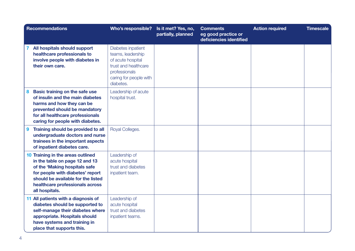|   | <b>Recommendations</b>                                                                                                                                                                                                              | Who's responsible?                                                                                                                           | Is it met? Yes, no,<br>partially, planned | <b>Comments</b><br>eg good practice or<br>deficiencies identified | <b>Action required</b> | <b>Timescale</b> |
|---|-------------------------------------------------------------------------------------------------------------------------------------------------------------------------------------------------------------------------------------|----------------------------------------------------------------------------------------------------------------------------------------------|-------------------------------------------|-------------------------------------------------------------------|------------------------|------------------|
|   | All hospitals should support<br>healthcare professionals to<br>involve people with diabetes in<br>their own care.                                                                                                                   | Diabetes inpatient<br>teams, leadership<br>of acute hospital<br>trust and healthcare<br>professionals<br>caring for people with<br>diabetes. |                                           |                                                                   |                        |                  |
| 8 | Basic training on the safe use<br>of insulin and the main diabetes<br>harms and how they can be<br>prevented should be mandatory<br>for all healthcare professionals<br>caring for people with diabetes.                            | Leadership of acute<br>hospital trust.                                                                                                       |                                           |                                                                   |                        |                  |
| 9 | Training should be provided to all<br>undergraduate doctors and nurse<br>trainees in the important aspects<br>of inpatient diabetes care.                                                                                           | Royal Colleges.                                                                                                                              |                                           |                                                                   |                        |                  |
|   | 10 Training in the areas outlined<br>in the table on page 12 and 13<br>of the 'Making hospitals safe<br>for people with diabetes' report<br>should be available for the listed<br>healthcare professionals across<br>all hospitals. | Leadership of<br>acute hospital<br>trust and diabetes<br>inpatient team.                                                                     |                                           |                                                                   |                        |                  |
|   | 11 All patients with a diagnosis of<br>diabetes should be supported to<br>self-manage their diabetes where<br>appropriate. Hospitals should<br>have systems and training in<br>place that supports this.                            | Leadership of<br>acute hospital<br>trust and diabetes<br>inpatient teams.                                                                    |                                           |                                                                   |                        |                  |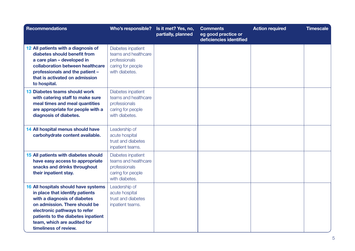| <b>Recommendations</b>                                                                                                                                                                                                                                                 | Who's responsible?                                                                                 | Is it met? Yes, no,<br>partially, planned | <b>Comments</b><br>eg good practice or<br>deficiencies identified | <b>Action required</b> | <b>Timescale</b> |
|------------------------------------------------------------------------------------------------------------------------------------------------------------------------------------------------------------------------------------------------------------------------|----------------------------------------------------------------------------------------------------|-------------------------------------------|-------------------------------------------------------------------|------------------------|------------------|
| 12 All patients with a diagnosis of<br>diabetes should benefit from<br>a care plan - developed in<br>collaboration between healthcare<br>professionals and the patient -<br>that is activated on admission<br>to hospital.                                             | Diabetes inpatient<br>teams and healthcare<br>professionals<br>caring for people<br>with diabetes. |                                           |                                                                   |                        |                  |
| 13 Diabetes teams should work<br>with catering staff to make sure<br>meal times and meal quantities<br>are appropriate for people with a<br>diagnosis of diabetes.                                                                                                     | Diabetes inpatient<br>teams and healthcare<br>professionals<br>caring for people<br>with diabetes. |                                           |                                                                   |                        |                  |
| 14 All hospital menus should have<br>carbohydrate content available.                                                                                                                                                                                                   | Leadership of<br>acute hospital<br>trust and diabetes<br>inpatient teams.                          |                                           |                                                                   |                        |                  |
| 15 All patients with diabetes should<br>have easy access to appropriate<br>snacks and drinks throughout<br>their inpatient stay.                                                                                                                                       | Diabetes inpatient<br>teams and healthcare<br>professionals<br>caring for people<br>with diabetes. |                                           |                                                                   |                        |                  |
| 16 All hospitals should have systems<br>in place that identify patients<br>with a diagnosis of diabetes<br>on admission. There should be<br>electronic pathways to refer<br>patients to the diabetes inpatient<br>team, which are audited for<br>timeliness of review. | Leadership of<br>acute hospital<br>trust and diabetes<br>inpatient teams.                          |                                           |                                                                   |                        |                  |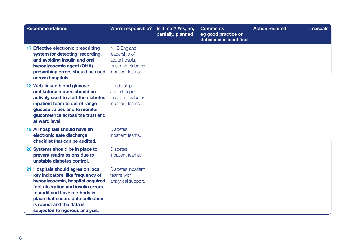| <b>Recommendations</b>                                                                                                                                                                                                                                                                 | Who's responsible?                                                                        | Is it met? Yes, no,<br>partially, planned | <b>Comments</b><br>eg good practice or<br>deficiencies identified | <b>Action required</b> | <b>Timescale</b> |
|----------------------------------------------------------------------------------------------------------------------------------------------------------------------------------------------------------------------------------------------------------------------------------------|-------------------------------------------------------------------------------------------|-------------------------------------------|-------------------------------------------------------------------|------------------------|------------------|
| 17 Effective electronic prescribing<br>system for detecting, recording,<br>and avoiding insulin and oral<br>hypoglycaemic agent (OHA)<br>prescribing errors should be used<br>across hospitals.                                                                                        | NHS England,<br>leadership of<br>acute hospital<br>trust and diabetes<br>inpatient teams. |                                           |                                                                   |                        |                  |
| 18 Web-linked blood glucose<br>and ketone meters should be<br>actively used to alert the diabetes<br>inpatient team to out of range<br>glucose values and to monitor<br>glucometrics across the trust and<br>at ward level.                                                            | Leadership of<br>acute hospital<br>trust and diabetes<br>inpatient teams.                 |                                           |                                                                   |                        |                  |
| 19 All hospitals should have an<br>electronic safe discharge<br>checklist that can be audited.                                                                                                                                                                                         | <b>Diabetes</b><br>inpatient teams.                                                       |                                           |                                                                   |                        |                  |
| 20 Systems should be in place to<br>prevent readmissions due to<br>unstable diabetes control.                                                                                                                                                                                          | <b>Diabetes</b><br>inpatient teams.                                                       |                                           |                                                                   |                        |                  |
| 21 Hospitals should agree on local<br>key indicators, like frequency of<br>hypoglycaemia, hospital acquired<br>foot ulceration and insulin errors<br>to audit and have methods in<br>place that ensure data collection<br>is robust and the data is<br>subjected to rigorous analysis. | Diabetes inpatient<br>teams with<br>analytical support.                                   |                                           |                                                                   |                        |                  |